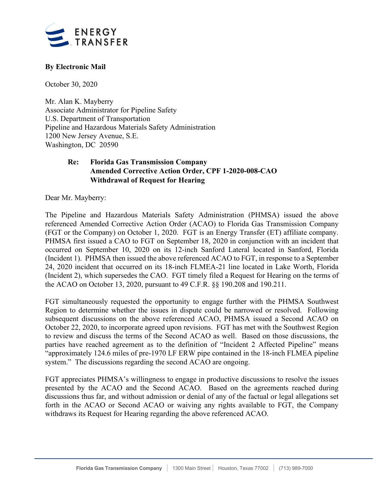

## **By Electronic Mail**

October 30, 2020

Mr. Alan K. Mayberry Associate Administrator for Pipeline Safety U.S. Department of Transportation Pipeline and Hazardous Materials Safety Administration 1200 New Jersey Avenue, S.E. Washington, DC 20590

## **Re: Florida Gas Transmission Company Amended Corrective Action Order, CPF 1-2020-008-CAO Withdrawal of Request for Hearing**

Dear Mr. Mayberry:

The Pipeline and Hazardous Materials Safety Administration (PHMSA) issued the above referenced Amended Corrective Action Order (ACAO) to Florida Gas Transmission Company (FGT or the Company) on October 1, 2020. FGT is an Energy Transfer (ET) affiliate company. PHMSA first issued a CAO to FGT on September 18, 2020 in conjunction with an incident that occurred on September 10, 2020 on its 12-inch Sanford Lateral located in Sanford, Florida (Incident 1). PHMSA then issued the above referenced ACAO to FGT, in response to a September 24, 2020 incident that occurred on its 18-inch FLMEA-21 line located in Lake Worth, Florida (Incident 2), which supersedes the CAO. FGT timely filed a Request for Hearing on the terms of the ACAO on October 13, 2020, pursuant to 49 C.F.R. §§ 190.208 and 190.211.

FGT simultaneously requested the opportunity to engage further with the PHMSA Southwest Region to determine whether the issues in dispute could be narrowed or resolved. Following subsequent discussions on the above referenced ACAO, PHMSA issued a Second ACAO on October 22, 2020, to incorporate agreed upon revisions. FGT has met with the Southwest Region to review and discuss the terms of the Second ACAO as well. Based on those discussions, the parties have reached agreement as to the definition of "Incident 2 Affected Pipeline" means "approximately 124.6 miles of pre-1970 LF ERW pipe contained in the 18-inch FLMEA pipeline system." The discussions regarding the second ACAO are ongoing.

FGT appreciates PHMSA's willingness to engage in productive discussions to resolve the issues presented by the ACAO and the Second ACAO. Based on the agreements reached during discussions thus far, and without admission or denial of any of the factual or legal allegations set forth in the ACAO or Second ACAO or waiving any rights available to FGT, the Company withdraws its Request for Hearing regarding the above referenced ACAO.